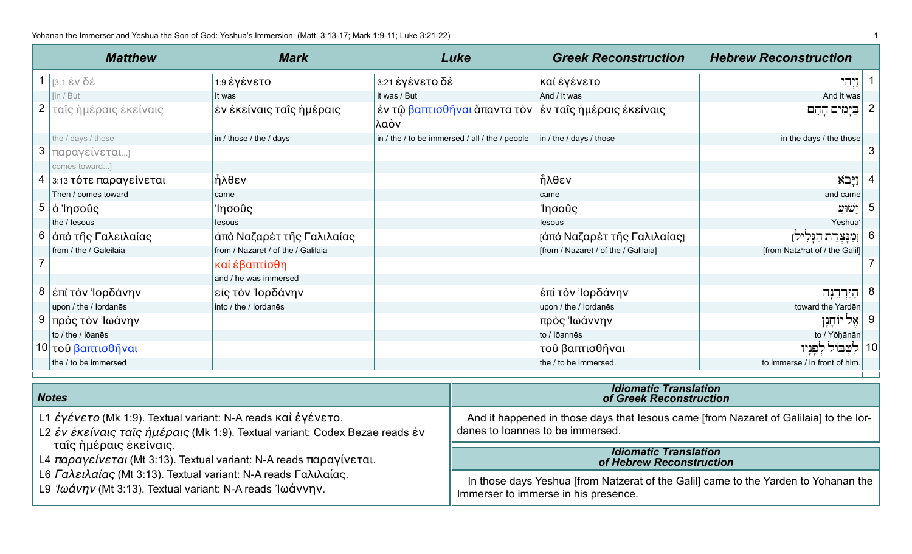| <b>Matthew</b>                                               | <b>Mark</b>                        |                                                | Luke | <b>Greek Reconstruction</b>                                         | <b>Hebrew Reconstruction</b>                                                          |    |
|--------------------------------------------------------------|------------------------------------|------------------------------------------------|------|---------------------------------------------------------------------|---------------------------------------------------------------------------------------|----|
| 1 $3:1$ έν δέ                                                | 1:9 έγένετο                        | 3:21 ἐγένετο δὲ                                |      | καὶ ἐγένετο                                                         | <u>יִיְ</u> הִי                                                                       |    |
| lin / But                                                    | It was                             | it was / But                                   |      | And / it was                                                        | And it was                                                                            |    |
| 2   ταΐς ήμέραις έκείναις                                    | έν έκείναις ταΐς ἡμέραις           | ∣λαὸν                                          |      | ἐν τῷ <mark>βαπτισθῆναι</mark> ἄπαντα τὸν  ἐν ταῖς ἡμέραις ἐκείναις | בַּיָּמִים הָהֵם                                                                      | 2  |
| the / days / those                                           | in / those / the / days            | in / the / to be immersed / all / the / people |      | in / the / days / those                                             | in the days / the those                                                               |    |
| 3   παραγείνεται]                                            |                                    |                                                |      |                                                                     |                                                                                       | 3  |
| comes toward]                                                |                                    |                                                |      |                                                                     |                                                                                       |    |
| 4 3:13 τότε παραγείνεται                                     | ἦλθεν                              |                                                |      | ήλθεν                                                               | וַיְּבֹא                                                                              |    |
| Then / comes toward                                          | came                               |                                                |      | came                                                                | and came                                                                              |    |
| $5   \dot{o}$ 'Ιησούς                                        | Ίησοῦς                             |                                                |      | Ίησοῦς                                                              | ישוע                                                                                  | 5  |
| the / lesous                                                 | lēsous                             |                                                |      | lēsous                                                              | Yēshūa                                                                                |    |
| 6   άπὸ τῆς Γαλειλαίας                                       | άπὸ Ναζαρὲτ τῆς Γαλιλαίας          |                                                |      | <u>[</u> άπὸ Ναζαρὲτ τῆς Γαλιλαίας]                                 | וֹמִנָּצִרַת הַנֶּלִילן                                                               | 6  |
| from / the / Galeilaia                                       | from / Nazaret / of the / Galilaia |                                                |      | [from / Nazaret / of the / Galilaia]                                | [from Nātzerat of / the Gālil]                                                        |    |
|                                                              | καὶ ἐβαπτίσθη                      |                                                |      |                                                                     |                                                                                       |    |
|                                                              | and / he was immersed              |                                                |      |                                                                     |                                                                                       |    |
| 8   έπὶ τὸν Ἰορδάνην                                         | είς τὸν Ἰορδάνην                   |                                                |      | έπὶ τὸν Ἰορδάνην                                                    | הַיַּרְדֵּנָה                                                                         | 8  |
| upon / the / lordanes                                        | into / the / lordanēs              |                                                |      | upon / the / lordanes                                               | toward the Yarden                                                                     |    |
| 9  πρὸς τὸν Ἰωάνην                                           |                                    |                                                |      | πρὸς Ἰωάννην                                                        | יוֹחֶנֶן<br>'אֵל                                                                      | 9  |
| to / the / lōanēs                                            |                                    |                                                |      | to / lōannēs                                                        | to / Yōḥānān                                                                          |    |
| 10 του βαπτισθήναι                                           |                                    |                                                |      | τοῦ βαπτισθῆναι                                                     | לטבול לפניו                                                                           | 10 |
| the / to be immersed                                         |                                    |                                                |      | the / to be immersed.                                               | to immerse / in front of him.                                                         |    |
|                                                              |                                    |                                                |      |                                                                     |                                                                                       |    |
| <b>Notes</b>                                                 |                                    |                                                |      | <b>Idiomatic Translation</b><br>of Greek Reconstruction             |                                                                                       |    |
| L1 έγένετο (Mk 1:9). Textual variant: N-A reads και έγένετο. |                                    |                                                |      |                                                                     | And it happened in those days that lesous came [from Nazaret of Galilaia] to the lor- |    |

|                        |  | L2 έν έκείναις ταΐς ήμέραις (Mk 1:9). Textual variant: Codex Bezae reads έν |  |  |  |
|------------------------|--|-----------------------------------------------------------------------------|--|--|--|
| ταΐς ἡμέραις ἐκείναις. |  |                                                                             |  |  |  |

L4 παραγείνεται (Mt 3:13). Textual variant: N-A reads παραγίνεται.

L6 Γαλειλαίας (Mt 3:13). Textual variant: N-A reads Γαλιλαίας.

L9 Ιωάνην (Mt 3:13). Textual variant: N-A reads Ιωάννην.

## And it happened in those days that lesous came [from Nazaret of Galilaia] to the lordanes to loannes to be immersed.

## **Idiomatic Translation**<br>**of Hebrew Reconstruction**

In those days Yeshua [from Natzerat of the Galil] came to the Yarden to Yohanan the Immerser to immerse in his presence.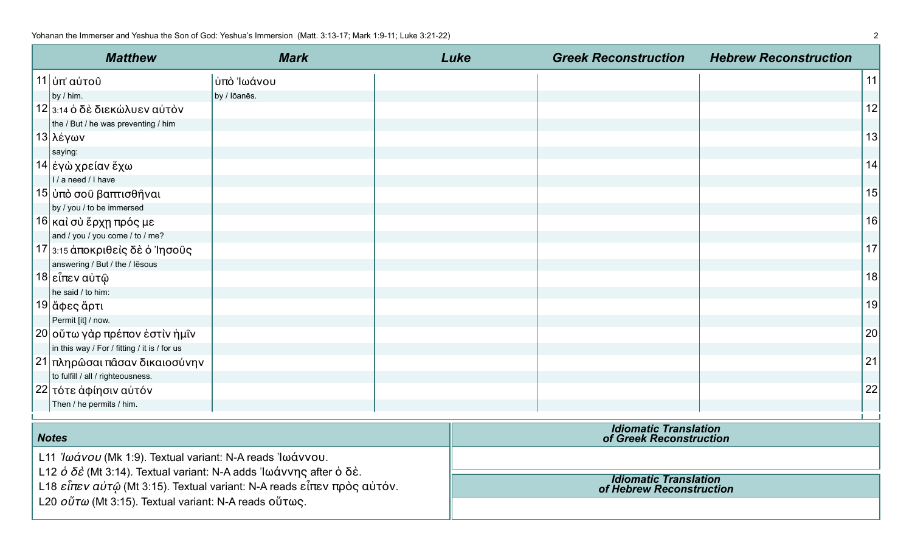| <b>Matthew</b>                               | <b>Mark</b>  | Luke | <b>Greek Reconstruction</b> | <b>Hebrew Reconstruction</b> |    |
|----------------------------------------------|--------------|------|-----------------------------|------------------------------|----|
| 11 ύπ' αύτοῦ                                 | ύπὸ Ἰωάνου   |      |                             |                              | 11 |
| by / him.                                    | by / lōanēs. |      |                             |                              |    |
| 12 3:14 ὁ δὲ διεκώλυεν αὐτὸν                 |              |      |                             |                              | 12 |
| the / But / he was preventing / him          |              |      |                             |                              |    |
| . 13∣λέγων⊹                                  |              |      |                             |                              | 13 |
| saying:                                      |              |      |                             |                              |    |
| 14 έγὼ χρείαν ἔχω                            |              |      |                             |                              | 14 |
| I / a need / I have                          |              |      |                             |                              |    |
| 15 ύπὸ σοῦ βαπτισθῆναι                       |              |      |                             |                              | 15 |
| by / you / to be immersed                    |              |      |                             |                              |    |
| 16 καὶ σὺ ἔρχῃ πρός με                       |              |      |                             |                              | 16 |
| and / you / you come / to / me?              |              |      |                             |                              |    |
| 17 3:15 άποκριθεὶς δὲ ὁ Ἰησοῦς               |              |      |                             |                              | 17 |
| answering / But / the / lēsous               |              |      |                             |                              |    |
| 18 εἶπεν αὐτῷ                                |              |      |                             |                              | 18 |
| he said / to him:                            |              |      |                             |                              |    |
| 19 ἄφες ἄρτι                                 |              |      |                             |                              | 19 |
| Permit [it] / now.                           |              |      |                             |                              |    |
| 20 οὔτω γὰρ πρέπον ἐστὶν ἡμῖν                |              |      |                             |                              | 20 |
| in this way / For / fitting / it is / for us |              |      |                             |                              |    |
| <sub>ι</sub> 21∣πληρῶσαι πᾶσαν δικαιοσύνην   |              |      |                             |                              | 21 |
| to fulfill / all / righteousness.            |              |      |                             |                              |    |
| 22  τότε ἀφίησιν αὐτόν                       |              |      |                             |                              | 22 |
| Then / he permits / him.                     |              |      |                             |                              |    |

| <b>Notes</b>                                                                                                                                       | <b>Idiomatic Translation</b><br>of Greek Reconstruction  |
|----------------------------------------------------------------------------------------------------------------------------------------------------|----------------------------------------------------------|
| L11 <i>'Ιωάνου</i> (Mk 1:9). Textual variant: N-A reads 'Ιωάννου.<br>L12 $\acute{o}$ δε' (Mt 3:14). Textual variant: N-A adds 'lωάννης after ο δε. |                                                          |
| L18 εἶπεν αὐτ $\hat{\omega}$ (Mt 3:15). Textual variant: N-A reads εἶπεν πρὸς αὐτόν.                                                               | <b>Idiomatic Translation</b><br>of Hebrew Reconstruction |
| L20 $o\H$ <i>u</i> (Mt 3:15). Textual variant: N-A reads $o\H$ u $\infty$ .                                                                        |                                                          |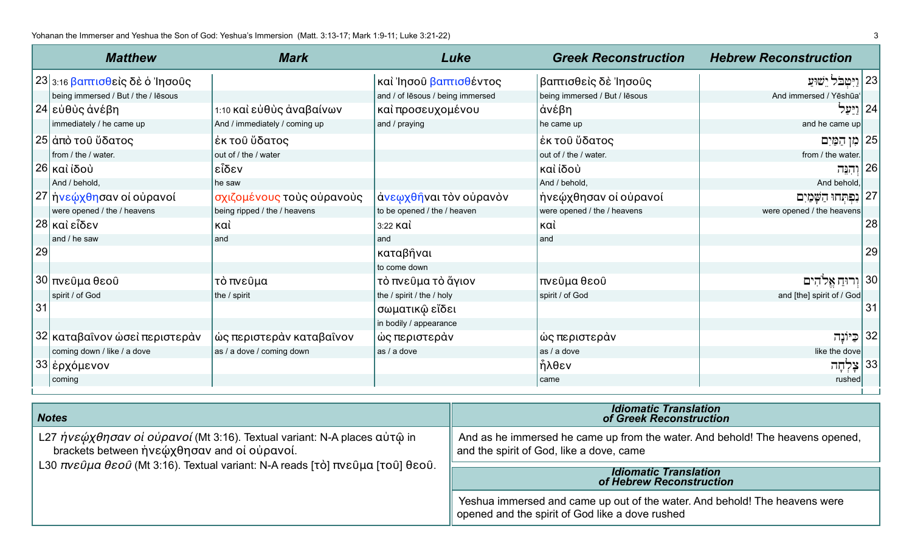|    | <b>Matthew</b>                               | <b>Mark</b>                   | Luke                             | <b>Greek Reconstruction</b>   | <b>Hebrew Reconstruction</b> |
|----|----------------------------------------------|-------------------------------|----------------------------------|-------------------------------|------------------------------|
|    | $23$ <sub>3:16</sub> βαπτισθείς δε ό 'Ιησούς |                               | καὶ Ἰησοῦ βαπτισθέντος           | βαπτισθεὶς δὲ Ἰησοῦς          | 23 <br>  ויטבל ישוע          |
|    | being immersed / But / the / lēsous          |                               | and / of lesous / being immersed | being immersed / But / lēsous | And immersed / Yēshūa        |
|    | 24 εὐθὺς ἀνέβη                               | 1:10 και εύθυς άναβαίνων      | καί προσευχομένου                | άνέβη                         | 24 ויַעַל                    |
|    | immediately / he came up                     | And / immediately / coming up | and / praying                    | he came up                    | and he came up               |
|    | 25 άπό του ύδατος                            | έκ του ὕδατος                 |                                  | έκ του ὕδατος                 | 25<br>מן הַמַּיִם            |
|    | from / the / water.                          | out of / the / water          |                                  | out of / the / water.         | from / the water.            |
|    | , 26 καὶ ἰδοὺ                                | εἶδεν                         |                                  | καὶ ἰδοὺ                      | 26<br>וְהִנֵּה               |
|    | And / behold,                                | he saw                        |                                  | And / behold,                 | And behold,                  |
|    | 27 ήνεώχθησαν οἱ οὐρανοί                     | σχιζομένους τοὺς οὐρανοὺς     | άνεωχθήναι τὸν οὐρανὸν           | ήνεώχθησαν οί ούρανοί         | 27<br>נִפְתְחוּ הַשָּׁמַיִם  |
|    | were opened / the / heavens                  | being ripped / the / heavens  | to be opened / the / heaven      | were opened / the / heavens   | were opened / the heavens    |
|    | 28 καὶ εἶδεν                                 | καὶ                           | 3:22 KQI                         | καὶ                           | 28                           |
|    | and / he saw                                 | land                          | land                             | and                           |                              |
| 29 |                                              |                               | καταβήναι                        |                               | 29                           |
|    |                                              |                               | to come down                     |                               |                              |
|    | 30 πνεύμα θεού                               | τὸ πνεῦμα                     | τὸ πνεῦμα τὸ ἄγιον               | πνεύμα θεού                   | יח אלהים                     |
|    | spirit / of God                              | the / spirit                  | the / spirit / the / holy        | spirit / of God               | and [the] spirit of / God    |
| 31 |                                              |                               | σωματικῷ εἴδει                   |                               | 31                           |
|    |                                              |                               | in bodily / appearance           |                               |                              |
|    | 32 καταβαΐνον ώσεὶ περιστερὰν                | ώς περιστεράν καταβαΐνον      | ώς περιστεράν                    | ώς περιστεράν                 | כַּיוֹנַה                    |
|    | coming down / like / a dove                  | as / a dove / coming down     | as / a dove                      | as / a dove                   | like the dove                |
|    | 33 έρχόμενον                                 |                               |                                  | ήλθεν                         | 33<br>צָּלְחָה               |
|    | coming                                       |                               |                                  | came                          | rushed                       |

| <b>Notes</b>                                                                                                            | <b>Idiomatic Translation</b><br>of Greek Reconstruction                                                                       |
|-------------------------------------------------------------------------------------------------------------------------|-------------------------------------------------------------------------------------------------------------------------------|
| L27 ήνεώχθησαν οι ούρανοί (Mt 3:16). Textual variant: N-A places αυτώ in<br>brackets between ήνεώχθησαν and οι ουρανοί. | And as he immersed he came up from the water. And behold! The heavens opened,<br>and the spirit of God, like a dove, came     |
| L30 πνεύμα θεού (Mt 3:16). Textual variant: N-A reads [τὸ] πνεῦμα [τοῦ] θεοῦ.                                           | <b>Idiomatic Translation</b><br>of Hebrew Reconstruction                                                                      |
|                                                                                                                         | Yeshua immersed and came up out of the water. And behold! The heavens were<br>opened and the spirit of God like a dove rushed |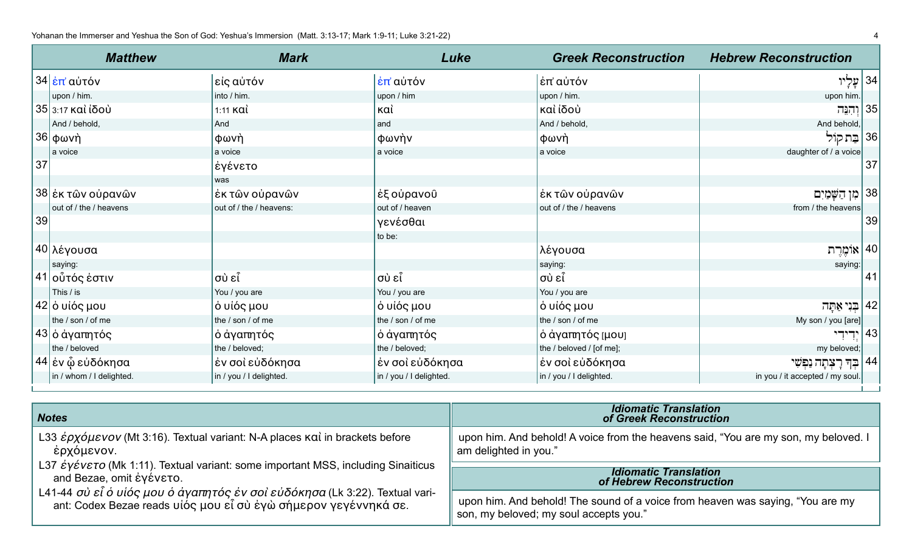Yohanan the Immerser and Yeshua the Son of God: Yeshua's Immersion (Matt. 3:13-17; Mark 1:9-11; Luke 3:21-22) 4 and the Immersion and Yeshua the Son of God: Yeshua's Immersion (Matt. 3:13-17; Mark 1:9-11; Luke 3:21-22)

|    | <b>Matthew</b>                | <b>Mark</b>             | Luke                    | <b>Greek Reconstruction</b> | <b>Hebrew Reconstruction</b>    |
|----|-------------------------------|-------------------------|-------------------------|-----------------------------|---------------------------------|
|    | , 34 <mark>έπ' αὐτόν</mark>   | εἰς αὐτόν               | ι έπ' αὐτόν             | ∣ἐπ' αὐτόν                  | 34   עָלְיו                     |
|    | upon / him.                   | into / him.             | upon / him              | upon / him.                 | upon him.                       |
|    | $35$ <sub>3:17</sub> καὶ ἰδοὺ | $1:11$ Kai              | καὶ                     | καὶ ἰδοὺ                    | 35 <br>וְהִנֵּה                 |
|    | And / behold,                 | And                     | land                    | And / behold,               | And behold,                     |
|    | 36   φωνὴ                     | φωνὴ                    | φωνὴν                   | φωνὴ                        | 36 <br>בַתקוֹל                  |
|    | a voice                       | a voice                 | a voice                 | a voice                     | daughter of / a voice           |
| 37 |                               | έγένετο                 |                         |                             | 37                              |
|    |                               | was                     |                         |                             |                                 |
|    | 38 έκ τῶν οὐρανῶν             | έκ τῶν οὐρανῶν          | ἐξ οὐρανοῦ              | έκ τῶν οὐρανῶν              | 38 <br>מן הַשָּׁמַיִם           |
|    | out of / the / heavens        | out of / the / heavens: | out of / heaven         | out of / the / heavens      | from / the heavens              |
| 39 |                               |                         | γενέσθαι                |                             | 39                              |
|    |                               |                         | to be:                  |                             |                                 |
|    | 40 λέγουσα                    |                         |                         | λέγουσα                     | אוֹמֶרֶת $\vert 40 \vert$       |
|    | saying:                       |                         |                         | saying:                     | saying:                         |
|    | $ 41 $ οὗτός ἐστιν            | σὺ εἶ                   | σὺ εἶ                   | σὺ εἶ                       | 41                              |
|    | This / is                     | You / you are           | You / you are           | You / you are               |                                 |
|    | $42$ ό υίός μου               | ό υἱός μου              | ∣ὸ υἰός μου             | ι ὁ υἱός μου                | 42 <br>בְנִי אַתָּה             |
|    | the / son / of me             | the / son / of me       | the / son / of me       | the / son / of me           | My son / you [are]              |
|    | <sup>43</sup> ∣ ὁ ἀγαπητός    | ∣ὸ ἀγαπητός             | ὸ ἀγαπητός              | ό άγαπητός [μου]            | 43 <br>ירירי                    |
|    | the / beloved                 | the / beloved;          | the / beloved;          | the / beloved / [of me];    | my beloved;                     |
|    | 44 έν ὧ εὐδόκησα              | ἐν σοὶ εὐδόκησα         | ἐν σοὶ εὐδόκησα         | ἐν σοὶ εὐδόκησα             | 44 <br>בְּךָ רָצְתָה נַפְּשִׁי  |
|    | in / whom / I delighted.      | in / you / I delighted. | in / you / I delighted. | in / you / I delighted.     | in you / it accepted / my soul. |

| <b>Notes</b>                                                                     | <b>Idiomatic Translation</b><br>of Greek Reconstruction                             |
|----------------------------------------------------------------------------------|-------------------------------------------------------------------------------------|
| L33 έρχόμενον (Mt 3:16). Textual variant: N-A places καὶ in brackets before      | upon him. And behold! A voice from the heavens said, "You are my son, my beloved. I |
| έρχόμενον.                                                                       | am delighted in you."                                                               |
| L37 έγένετο (Mk 1:11). Textual variant: some important MSS, including Sinaiticus | <b>Idiomatic Translation</b>                                                        |
| and Bezae, omit έγένετο.                                                         | of Hebrew Reconstruction                                                            |
| L41-44 σὺ εἶ ὁ υἱός μου ὁ ἀγαπητός ἐν σοὶ εὐδόκησα (Lk 3:22). Textual vari-      | upon him. And behold! The sound of a voice from heaven was saying, "You are my      |
| ant: Codex Bezae reads υἱός μου εἶ σὺ ἐγὼ σήμερον γεγέννηκά σε.                  | son, my beloved; my soul accepts you."                                              |